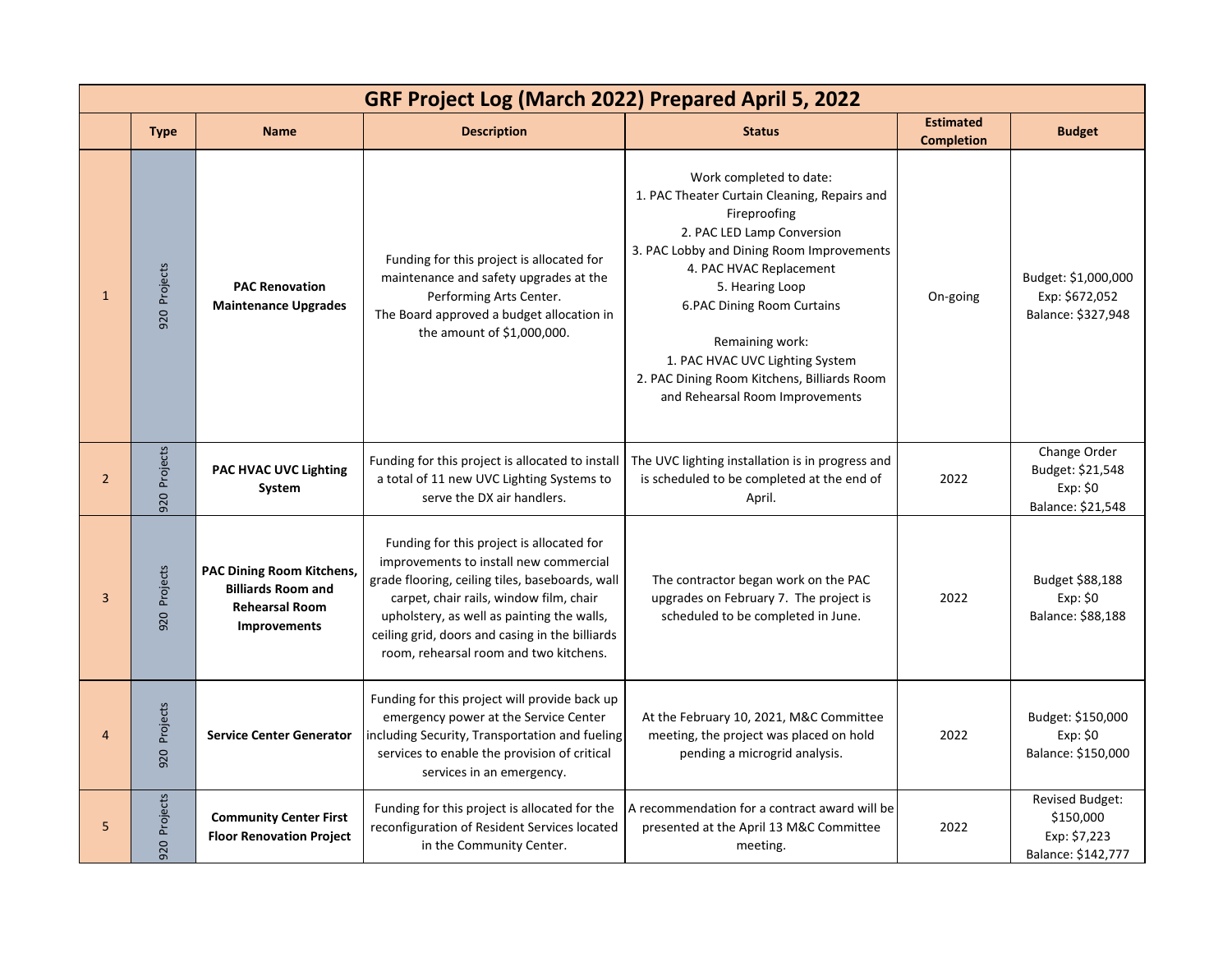| GRF Project Log (March 2022) Prepared April 5, 2022 |                 |                                                                                                        |                                                                                                                                                                                                                                                                                                                              |                                                                                                                                                                                                                                                                                                                                                                                               |                                       |                                                                           |  |
|-----------------------------------------------------|-----------------|--------------------------------------------------------------------------------------------------------|------------------------------------------------------------------------------------------------------------------------------------------------------------------------------------------------------------------------------------------------------------------------------------------------------------------------------|-----------------------------------------------------------------------------------------------------------------------------------------------------------------------------------------------------------------------------------------------------------------------------------------------------------------------------------------------------------------------------------------------|---------------------------------------|---------------------------------------------------------------------------|--|
|                                                     | <b>Type</b>     | <b>Name</b>                                                                                            | <b>Description</b>                                                                                                                                                                                                                                                                                                           | <b>Status</b>                                                                                                                                                                                                                                                                                                                                                                                 | <b>Estimated</b><br><b>Completion</b> | <b>Budget</b>                                                             |  |
| $\mathbf{1}$                                        | 920 Projects    | <b>PAC Renovation</b><br><b>Maintenance Upgrades</b>                                                   | Funding for this project is allocated for<br>maintenance and safety upgrades at the<br>Performing Arts Center.<br>The Board approved a budget allocation in<br>the amount of \$1,000,000.                                                                                                                                    | Work completed to date:<br>1. PAC Theater Curtain Cleaning, Repairs and<br>Fireproofing<br>2. PAC LED Lamp Conversion<br>3. PAC Lobby and Dining Room Improvements<br>4. PAC HVAC Replacement<br>5. Hearing Loop<br><b>6.PAC Dining Room Curtains</b><br>Remaining work:<br>1. PAC HVAC UVC Lighting System<br>2. PAC Dining Room Kitchens, Billiards Room<br>and Rehearsal Room Improvements | On-going                              | Budget: \$1,000,000<br>Exp: \$672,052<br>Balance: \$327,948               |  |
| $\overline{2}$                                      | Projects<br>920 | <b>PAC HVAC UVC Lighting</b><br>System                                                                 | Funding for this project is allocated to install<br>a total of 11 new UVC Lighting Systems to<br>serve the DX air handlers.                                                                                                                                                                                                  | The UVC lighting installation is in progress and<br>is scheduled to be completed at the end of<br>April.                                                                                                                                                                                                                                                                                      | 2022                                  | Change Order<br>Budget: \$21,548<br>Exp: \$0<br>Balance: \$21,548         |  |
| $\overline{3}$                                      | Projects<br>920 | <b>PAC Dining Room Kitchens,</b><br><b>Billiards Room and</b><br><b>Rehearsal Room</b><br>Improvements | Funding for this project is allocated for<br>improvements to install new commercial<br>grade flooring, ceiling tiles, baseboards, wall<br>carpet, chair rails, window film, chair<br>upholstery, as well as painting the walls,<br>ceiling grid, doors and casing in the billiards<br>room, rehearsal room and two kitchens. | The contractor began work on the PAC<br>upgrades on February 7. The project is<br>scheduled to be completed in June.                                                                                                                                                                                                                                                                          | 2022                                  | Budget \$88,188<br>Exp: \$0<br>Balance: \$88,188                          |  |
| $\overline{a}$                                      | Projects<br>920 | <b>Service Center Generator</b>                                                                        | Funding for this project will provide back up<br>emergency power at the Service Center<br>including Security, Transportation and fueling<br>services to enable the provision of critical<br>services in an emergency.                                                                                                        | At the February 10, 2021, M&C Committee<br>meeting, the project was placed on hold<br>pending a microgrid analysis.                                                                                                                                                                                                                                                                           | 2022                                  | Budget: \$150,000<br>Exp: \$0<br>Balance: \$150,000                       |  |
| 5                                                   | Projects<br>920 | <b>Community Center First</b><br><b>Floor Renovation Project</b>                                       | Funding for this project is allocated for the<br>reconfiguration of Resident Services located<br>in the Community Center.                                                                                                                                                                                                    | A recommendation for a contract award will be<br>presented at the April 13 M&C Committee<br>meeting.                                                                                                                                                                                                                                                                                          | 2022                                  | <b>Revised Budget:</b><br>\$150,000<br>Exp: \$7,223<br>Balance: \$142,777 |  |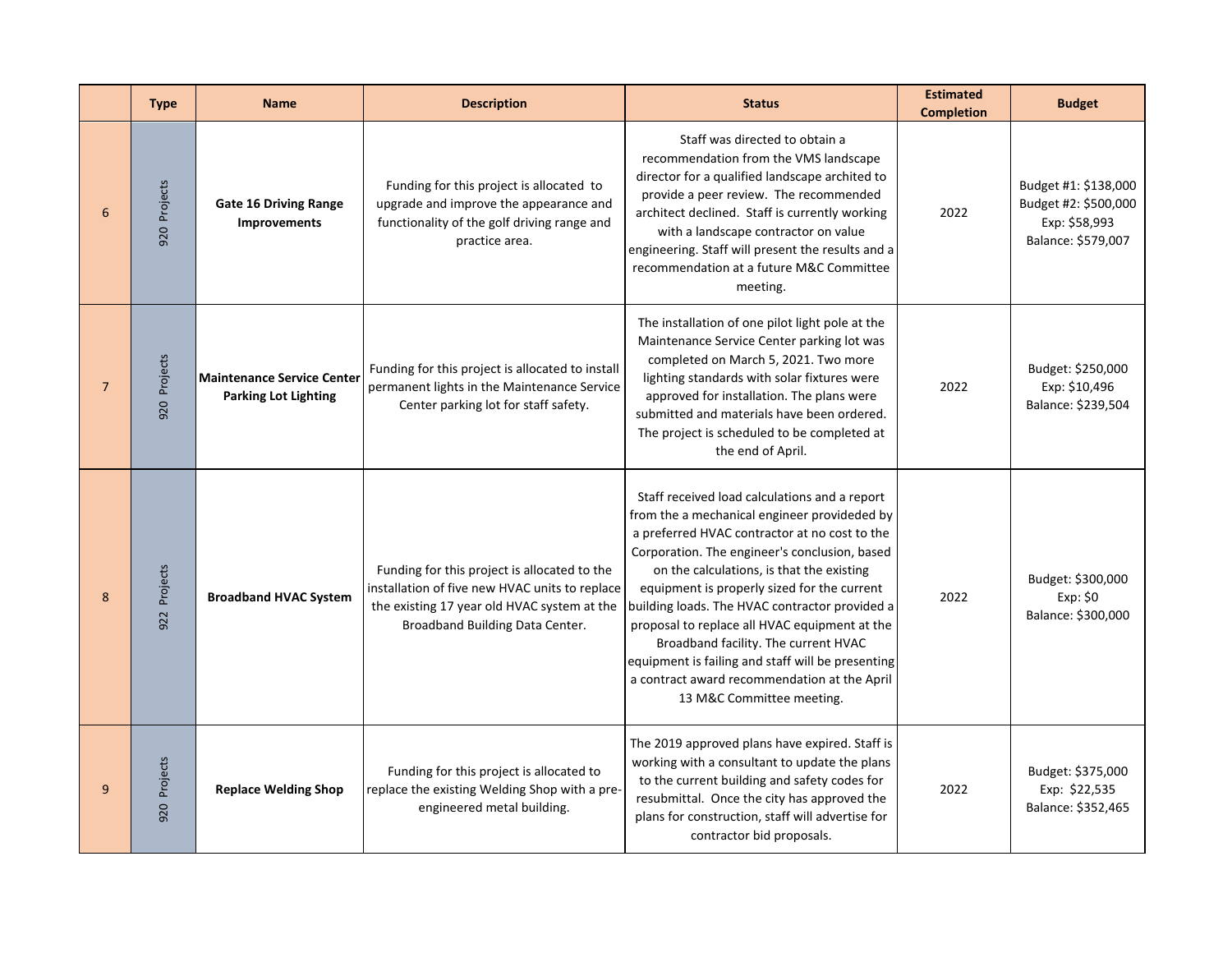|                | <b>Type</b>     | <b>Name</b>                                                      | <b>Description</b>                                                                                                                                                               | <b>Status</b>                                                                                                                                                                                                                                                                                                                                                                                                                                                                                                                                                            | <b>Estimated</b><br><b>Completion</b> | <b>Budget</b>                                                                       |
|----------------|-----------------|------------------------------------------------------------------|----------------------------------------------------------------------------------------------------------------------------------------------------------------------------------|--------------------------------------------------------------------------------------------------------------------------------------------------------------------------------------------------------------------------------------------------------------------------------------------------------------------------------------------------------------------------------------------------------------------------------------------------------------------------------------------------------------------------------------------------------------------------|---------------------------------------|-------------------------------------------------------------------------------------|
| 6              | 920 Projects    | <b>Gate 16 Driving Range</b><br><b>Improvements</b>              | Funding for this project is allocated to<br>upgrade and improve the appearance and<br>functionality of the golf driving range and<br>practice area.                              | Staff was directed to obtain a<br>recommendation from the VMS landscape<br>director for a qualified landscape archited to<br>provide a peer review. The recommended<br>architect declined. Staff is currently working<br>with a landscape contractor on value<br>engineering. Staff will present the results and a<br>recommendation at a future M&C Committee<br>meeting.                                                                                                                                                                                               | 2022                                  | Budget #1: \$138,000<br>Budget #2: \$500,000<br>Exp: \$58,993<br>Balance: \$579,007 |
| $\overline{7}$ | 920 Projects    | <b>Maintenance Service Center</b><br><b>Parking Lot Lighting</b> | Funding for this project is allocated to install<br>permanent lights in the Maintenance Service<br>Center parking lot for staff safety.                                          | The installation of one pilot light pole at the<br>Maintenance Service Center parking lot was<br>completed on March 5, 2021. Two more<br>lighting standards with solar fixtures were<br>approved for installation. The plans were<br>submitted and materials have been ordered.<br>The project is scheduled to be completed at<br>the end of April.                                                                                                                                                                                                                      | 2022                                  | Budget: \$250,000<br>Exp: \$10,496<br>Balance: \$239,504                            |
| 8              | Projects<br>922 | <b>Broadband HVAC System</b>                                     | Funding for this project is allocated to the<br>installation of five new HVAC units to replace<br>the existing 17 year old HVAC system at the<br>Broadband Building Data Center. | Staff received load calculations and a report<br>from the a mechanical engineer provideded by<br>a preferred HVAC contractor at no cost to the<br>Corporation. The engineer's conclusion, based<br>on the calculations, is that the existing<br>equipment is properly sized for the current<br>building loads. The HVAC contractor provided a<br>proposal to replace all HVAC equipment at the<br>Broadband facility. The current HVAC<br>equipment is failing and staff will be presenting<br>a contract award recommendation at the April<br>13 M&C Committee meeting. | 2022                                  | Budget: \$300,000<br>Exp: \$0<br>Balance: \$300,000                                 |
| 9              | Projects<br>920 | <b>Replace Welding Shop</b>                                      | Funding for this project is allocated to<br>replace the existing Welding Shop with a pre-<br>engineered metal building.                                                          | The 2019 approved plans have expired. Staff is<br>working with a consultant to update the plans<br>to the current building and safety codes for<br>resubmittal. Once the city has approved the<br>plans for construction, staff will advertise for<br>contractor bid proposals.                                                                                                                                                                                                                                                                                          | 2022                                  | Budget: \$375,000<br>Exp: \$22,535<br>Balance: \$352,465                            |